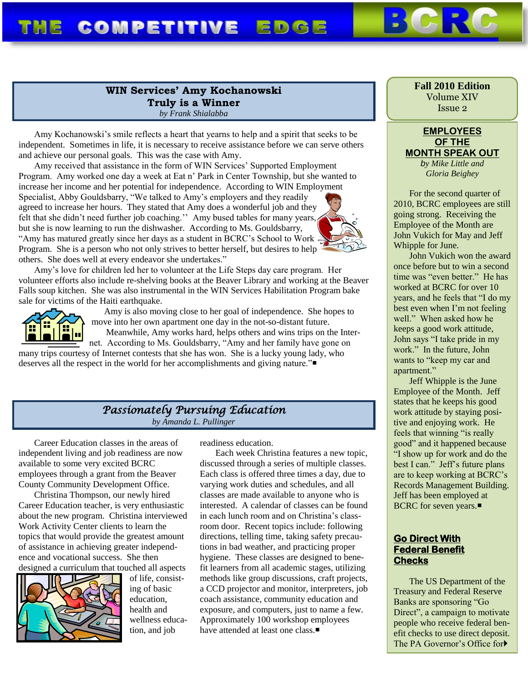#### **WIN Services' Amy Kochanowski Truly is a Winner** *by Frank Shialabba*

Amy Kochanowski's smile reflects a heart that yearns to help and a spirit that seeks to be independent. Sometimes in life, it is necessary to receive assistance before we can serve others and achieve our personal goals. This was the case with Amy.

Amy received that assistance in the form of WIN Services' Supported Employment Program. Amy worked one day a week at Eat n' Park in Center Township, but she wanted to increase her income and her potential for independence. According to WIN Employment Specialist, Abby Gouldsbarry, "We talked to Amy's employers and they readily agreed to increase her hours. They stated that Amy does a wonderful job and they felt that she didn't need further job coaching." Amy bused tables for many years, but she is now learning to run the dishwasher. According to Ms. Gouldsbarry, "Amy has matured greatly since her days as a student in BCRC's School to Work Program. She is a person who not only strives to better herself, but desires to help others. She does well at every endeavor she undertakes."

Amy's love for children led her to volunteer at the Life Steps day care program. Her volunteer efforts also include re-shelving books at the Beaver Library and working at the Beaver Falls soup kitchen. She was also instrumental in the WIN Services Habilitation Program bake sale for victims of the Haiti earthquake.



Amy is also moving close to her goal of independence. She hopes to move into her own apartment one day in the not-so-distant future.

Meanwhile, Amy works hard, helps others and wins trips on the Internet. According to Ms. Gouldsbarry, "Amy and her family have gone on many trips courtesy of Internet contests that she has won. She is a lucky young lady, who deserves all the respect in the world for her accomplishments and giving nature."

# *Passionately Pursuing Education*

*by Amanda L. Pullinger*

Career Education classes in the areas of independent living and job readiness are now available to some very excited BCRC employees through a grant from the Beaver County Community Development Office.

Christina Thompson, our newly hired Career Education teacher, is very enthusiastic about the new program. Christina interviewed Work Activity Center clients to learn the topics that would provide the greatest amount of assistance in achieving greater independence and vocational success. She then designed a curriculum that touched all aspects



of life, consisting of basic education, health and wellness education, and job

readiness education.

Each week Christina features a new topic, discussed through a series of multiple classes. Each class is offered three times a day, due to varying work duties and schedules, and all classes are made available to anyone who is interested. A calendar of classes can be found in each lunch room and on Christina's classroom door. Recent topics include: following directions, telling time, taking safety precautions in bad weather, and practicing proper hygiene. These classes are designed to benefit learners from all academic stages, utilizing methods like group discussions, craft projects, a CCD projector and monitor, interpreters, job coach assistance, community education and exposure, and computers, just to name a few. Approximately 100 workshop employees have attended at least one class.

**Fall 2010 Edition** Volume XIV Issue 2

#### **EMPLOYEES OF THE MONTH SPEAK OUT**

*by Mike Little and Gloria Beighey*

For the second quarter of 2010, BCRC employees are still going strong. Receiving the Employee of the Month are John Vukich for May and Jeff Whipple for June.

John Vukich won the award once before but to win a second time was "even better." He has worked at BCRC for over 10 years, and he feels that "I do my best even when I'm not feeling well." When asked how he keeps a good work attitude, John says "I take pride in my work." In the future, John wants to "keep my car and apartment."

Jeff Whipple is the June Employee of the Month. Jeff states that he keeps his good work attitude by staying positive and enjoying work. He feels that winning "is really good" and it happened because "I show up for work and do the best I can." Jeff's future plans are to keep working at BCRC's Records Management Building. Jeff has been employed at **BCRC** for seven years.■

#### **Go Direct With Federal Benefit Checks**

The US Department of the Treasury and Federal Reserve Banks are sponsoring "Go Direct", a campaign to motivate people who receive federal benefit checks to use direct deposit. The PA Governor's Office for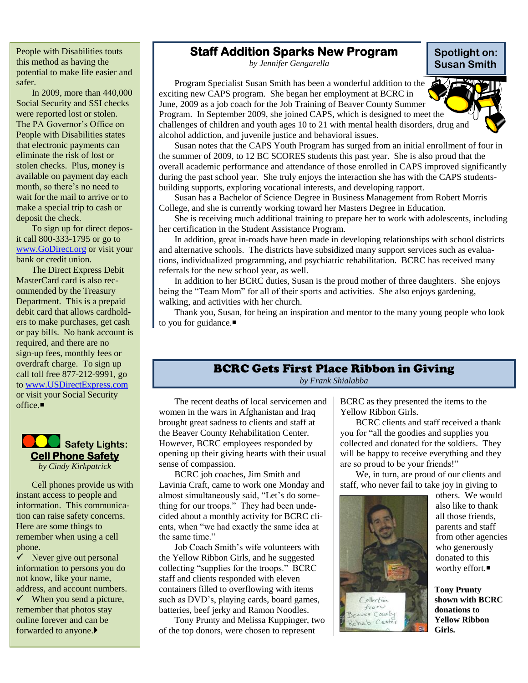People with Disabilities touts this method as having the potential to make life easier and safer.

In 2009, more than 440,000 Social Security and SSI checks were reported lost or stolen. The PA Governor's Office on People with Disabilities states that electronic payments can eliminate the risk of lost or stolen checks. Plus, money is available on payment day each month, so there's no need to wait for the mail to arrive or to make a special trip to cash or deposit the check.

To sign up for direct deposit call 800-333-1795 or go to [www.GoDirect.org](http://www.godirect.org/) or visit your bank or credit union.

The Direct Express Debit MasterCard card is also recommended by the Treasury Department. This is a prepaid debit card that allows cardholders to make purchases, get cash or pay bills. No bank account is required, and there are no sign-up fees, monthly fees or overdraft charge. To sign up call toll free 877-212-9991, go t[o www.USDirectExpress.com](http://www.usdirectexpress.com/) or visit your Social Security office  $\blacksquare$ 

 **Safety Lights: Cell Phone Safety** *by Cindy Kirkpatrick*

Cell phones provide us with instant access to people and information. This communication can raise safety concerns. Here are some things to remember when using a cell phone.

 $\checkmark$  Never give out personal information to persons you do not know, like your name, address, and account numbers.

 $\checkmark$  When you send a picture, remember that photos stay online forever and can be forwarded to anyone.

### **Staff Addition Sparks New Program**

*by Jennifer Gengarella*

Program Specialist Susan Smith has been a wonderful addition to the exciting new CAPS program. She began her employment at BCRC in June, 2009 as a job coach for the Job Training of Beaver County Summer Program. In September 2009, she joined CAPS, which is designed to meet the challenges of children and youth ages 10 to 21 with mental health disorders, drug and alcohol addiction, and juvenile justice and behavioral issues.



**Spotlight on: Susan Smith**

Susan notes that the CAPS Youth Program has surged from an initial enrollment of four in the summer of 2009, to 12 BC SCORES students this past year. She is also proud that the overall academic performance and attendance of those enrolled in CAPS improved significantly during the past school year. She truly enjoys the interaction she has with the CAPS studentsbuilding supports, exploring vocational interests, and developing rapport.

Susan has a Bachelor of Science Degree in Business Management from Robert Morris College, and she is currently working toward her Masters Degree in Education.

She is receiving much additional training to prepare her to work with adolescents, including her certification in the Student Assistance Program.

In addition, great in-roads have been made in developing relationships with school districts and alternative schools. The districts have subsidized many support services such as evaluations, individualized programming, and psychiatric rehabilitation. BCRC has received many referrals for the new school year, as well.

In addition to her BCRC duties, Susan is the proud mother of three daughters. She enjoys being the "Team Mom" for all of their sports and activities. She also enjoys gardening, walking, and activities with her church.

Thank you, Susan, for being an inspiration and mentor to the many young people who look to you for guidance.■

#### BCRC Gets First Place Ribbon in Giving

*by Frank Shialabba*

The recent deaths of local servicemen and women in the wars in Afghanistan and Iraq brought great sadness to clients and staff at the Beaver County Rehabilitation Center. However, BCRC employees responded by opening up their giving hearts with their usual sense of compassion.

BCRC job coaches, Jim Smith and Lavinia Craft, came to work one Monday and almost simultaneously said, "Let's do something for our troops." They had been undecided about a monthly activity for BCRC clients, when "we had exactly the same idea at the same time."

Job Coach Smith's wife volunteers with the Yellow Ribbon Girls, and he suggested collecting "supplies for the troops." BCRC staff and clients responded with eleven containers filled to overflowing with items such as DVD's, playing cards, board games, batteries, beef jerky and Ramon Noodles.

Tony Prunty and Melissa Kuppinger, two of the top donors, were chosen to represent

BCRC as they presented the items to the Yellow Ribbon Girls.

BCRC clients and staff received a thank you for "all the goodies and supplies you collected and donated for the soldiers. They will be happy to receive everything and they are so proud to be your friends!"

We, in turn, are proud of our clients and staff, who never fail to take joy in giving to



others. We would also like to thank all those friends, parents and staff from other agencies who generously donated to this worthy effort.

**Tony Prunty shown with BCRC donations to Yellow Ribbon Girls.**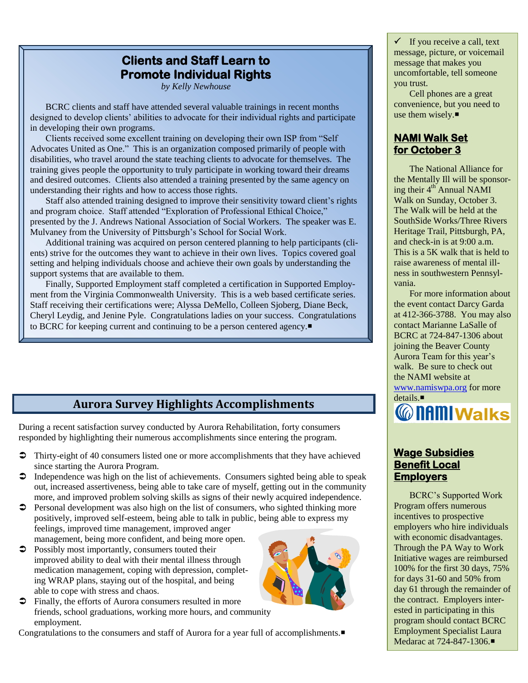## **Clients and Staff Learn to Promote Individual Rights**

*by Kelly Newhouse*

BCRC clients and staff have attended several valuable trainings in recent months designed to develop clients' abilities to advocate for their individual rights and participate in developing their own programs.

Clients received some excellent training on developing their own ISP from "Self Advocates United as One." This is an organization composed primarily of people with disabilities, who travel around the state teaching clients to advocate for themselves. The training gives people the opportunity to truly participate in working toward their dreams and desired outcomes. Clients also attended a training presented by the same agency on understanding their rights and how to access those rights.

Staff also attended training designed to improve their sensitivity toward client's rights and program choice. Staff attended "Exploration of Professional Ethical Choice," presented by the J. Andrews National Association of Social Workers. The speaker was E. Mulvaney from the University of Pittsburgh's School for Social Work.

Additional training was acquired on person centered planning to help participants (clients) strive for the outcomes they want to achieve in their own lives. Topics covered goal setting and helping individuals choose and achieve their own goals by understanding the support systems that are available to them.

Finally, Supported Employment staff completed a certification in Supported Employment from the Virginia Commonwealth University. This is a web based certificate series. Staff receiving their certifications were; Alyssa DeMello, Colleen Sjoberg, Diane Beck, Cheryl Leydig, and Jenine Pyle. Congratulations ladies on your success. Congratulations to BCRC for keeping current and continuing to be a person centered agency.

## **Aurora Survey Highlights Accomplishments**

During a recent satisfaction survey conducted by Aurora Rehabilitation, forty consumers responded by highlighting their numerous accomplishments since entering the program.

- Thirty-eight of 40 consumers listed one or more accomplishments that they have achieved since starting the Aurora Program.
- $\supset$  Independence was high on the list of achievements. Consumers sighted being able to speak out, increased assertiveness, being able to take care of myself, getting out in the community more, and improved problem solving skills as signs of their newly acquired independence.
- Personal development was also high on the list of consumers, who sighted thinking more positively, improved self-esteem, being able to talk in public, being able to express my feelings, improved time management, improved anger management, being more confident, and being more open.
- **Possibly most importantly, consumers touted their** improved ability to deal with their mental illness through medication management, coping with depression, completing WRAP plans, staying out of the hospital, and being able to cope with stress and chaos.
- $\supset$  Finally, the efforts of Aurora consumers resulted in more friends, school graduations, working more hours, and community employment.

Congratulations to the consumers and staff of Aurora for a year full of accomplishments.



 $\checkmark$  If you receive a call, text message, picture, or voicemail message that makes you uncomfortable, tell someone you trust.

Cell phones are a great convenience, but you need to use them wisely.

#### **NAMI Walk Set for October 3**

The National Alliance for the Mentally Ill will be sponsoring their 4<sup>th</sup> Annual NAMI Walk on Sunday, October 3. The Walk will be held at the SouthSide Works/Three Rivers Heritage Trail, Pittsburgh, PA, and check-in is at 9:00 a.m. This is a 5K walk that is held to raise awareness of mental illness in southwestern Pennsylvania.

For more information about the event contact Darcy Garda at 412-366-3788. You may also contact Marianne LaSalle of BCRC at 724-847-1306 about joining the Beaver County Aurora Team for this year's walk. Be sure to check out the NAMI website at [www.namiswpa.org](http://www.namiswpa.org/) for more



#### **Wage Subsidies Benefit Local Employers**

BCRC's Supported Work Program offers numerous incentives to prospective employers who hire individuals with economic disadvantages. Through the PA Way to Work Initiative wages are reimbursed 100% for the first 30 days, 75% for days 31-60 and 50% from day 61 through the remainder of the contract. Employers interested in participating in this program should contact BCRC Employment Specialist Laura Medarac at 724-847-1306.